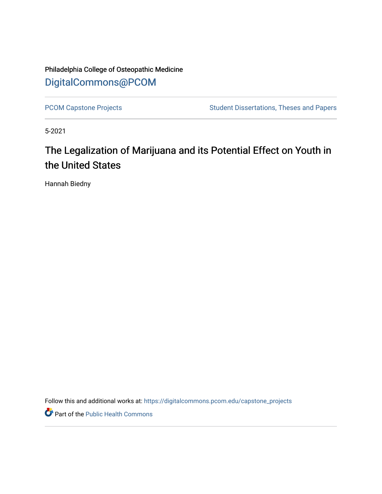Philadelphia College of Osteopathic Medicine [DigitalCommons@PCOM](https://digitalcommons.pcom.edu/) 

[PCOM Capstone Projects](https://digitalcommons.pcom.edu/capstone_projects) **Student Dissertations, Theses and Papers** Student Dissertations, Theses and Papers

5-2021

# The Legalization of Marijuana and its Potential Effect on Youth in the United States

Hannah Biedny

Follow this and additional works at: [https://digitalcommons.pcom.edu/capstone\\_projects](https://digitalcommons.pcom.edu/capstone_projects?utm_source=digitalcommons.pcom.edu%2Fcapstone_projects%2F46&utm_medium=PDF&utm_campaign=PDFCoverPages)

Part of the [Public Health Commons](http://network.bepress.com/hgg/discipline/738?utm_source=digitalcommons.pcom.edu%2Fcapstone_projects%2F46&utm_medium=PDF&utm_campaign=PDFCoverPages)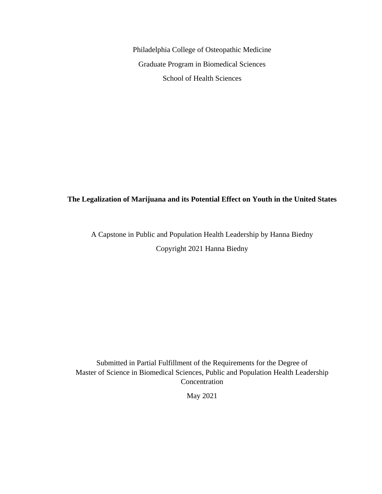Philadelphia College of Osteopathic Medicine Graduate Program in Biomedical Sciences School of Health Sciences

### **The Legalization of Marijuana and its Potential Effect on Youth in the United States**

A Capstone in Public and Population Health Leadership by Hanna Biedny Copyright 2021 Hanna Biedny

Submitted in Partial Fulfillment of the Requirements for the Degree of Master of Science in Biomedical Sciences, Public and Population Health Leadership **Concentration** 

May 2021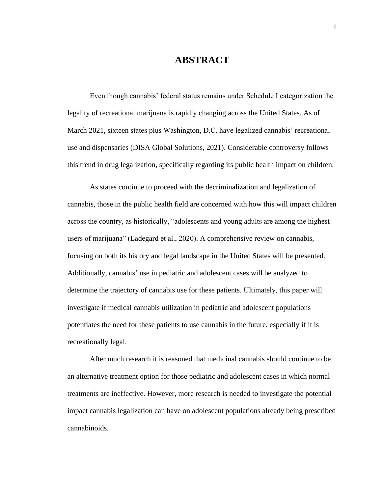# **ABSTRACT**

Even though cannabis' federal status remains under Schedule I categorization the legality of recreational marijuana is rapidly changing across the United States. As of March 2021, sixteen states plus Washington, D.C. have legalized cannabis' recreational use and dispensaries (DISA Global Solutions, 2021). Considerable controversy follows this trend in drug legalization, specifically regarding its public health impact on children.

As states continue to proceed with the decriminalization and legalization of cannabis, those in the public health field are concerned with how this will impact children across the country, as historically, "adolescents and young adults are among the highest users of marijuana" (Ladegard et al., 2020). A comprehensive review on cannabis, focusing on both its history and legal landscape in the United States will be presented. Additionally, cannabis' use in pediatric and adolescent cases will be analyzed to determine the trajectory of cannabis use for these patients. Ultimately, this paper will investigate if medical cannabis utilization in pediatric and adolescent populations potentiates the need for these patients to use cannabis in the future, especially if it is recreationally legal.

After much research it is reasoned that medicinal cannabis should continue to be an alternative treatment option for those pediatric and adolescent cases in which normal treatments are ineffective. However, more research is needed to investigate the potential impact cannabis legalization can have on adolescent populations already being prescribed cannabinoids.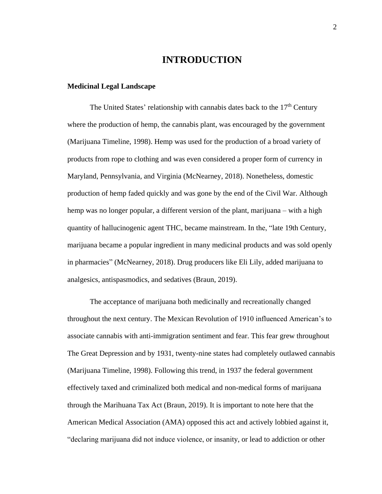### **INTRODUCTION**

#### **Medicinal Legal Landscape**

The United States' relationship with cannabis dates back to the  $17<sup>th</sup>$  Century where the production of hemp, the cannabis plant, was encouraged by the government (Marijuana Timeline, 1998). Hemp was used for the production of a broad variety of products from rope to clothing and was even considered a proper form of currency in Maryland, Pennsylvania, and Virginia (McNearney, 2018). Nonetheless, domestic production of hemp faded quickly and was gone by the end of the Civil War. Although hemp was no longer popular, a different version of the plant, marijuana – with a high quantity of hallucinogenic agent THC, became mainstream. In the, "late 19th Century, marijuana became a popular ingredient in many medicinal products and was sold openly in pharmacies" (McNearney, 2018). Drug producers like Eli Lily, added marijuana to analgesics, antispasmodics, and sedatives (Braun, 2019).

The acceptance of marijuana both medicinally and recreationally changed throughout the next century. The Mexican Revolution of 1910 influenced American's to associate cannabis with anti-immigration sentiment and fear. This fear grew throughout The Great Depression and by 1931, twenty-nine states had completely outlawed cannabis (Marijuana Timeline, 1998). Following this trend, in 1937 the federal government effectively taxed and criminalized both medical and non-medical forms of marijuana through the Marihuana Tax Act (Braun, 2019). It is important to note here that the American Medical Association (AMA) opposed this act and actively lobbied against it, "declaring marijuana did not induce violence, or insanity, or lead to addiction or other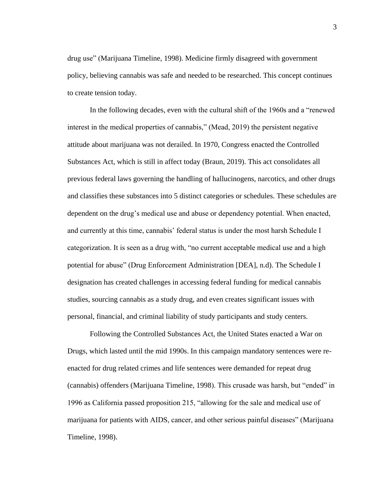drug use" (Marijuana Timeline, 1998). Medicine firmly disagreed with government policy, believing cannabis was safe and needed to be researched. This concept continues to create tension today.

In the following decades, even with the cultural shift of the 1960s and a "renewed interest in the medical properties of cannabis," (Mead, 2019) the persistent negative attitude about marijuana was not derailed. In 1970, Congress enacted the Controlled Substances Act, which is still in affect today (Braun, 2019). This act consolidates all previous federal laws governing the handling of hallucinogens, narcotics, and other drugs and classifies these substances into 5 distinct categories or schedules. These schedules are dependent on the drug's medical use and abuse or dependency potential. When enacted, and currently at this time, cannabis' federal status is under the most harsh Schedule I categorization. It is seen as a drug with, "no current acceptable medical use and a high potential for abuse" (Drug Enforcement Administration [DEA], n.d). The Schedule I designation has created challenges in accessing federal funding for medical cannabis studies, sourcing cannabis as a study drug, and even creates significant issues with personal, financial, and criminal liability of study participants and study centers.

Following the Controlled Substances Act, the United States enacted a War on Drugs, which lasted until the mid 1990s. In this campaign mandatory sentences were reenacted for drug related crimes and life sentences were demanded for repeat drug (cannabis) offenders (Marijuana Timeline, 1998). This crusade was harsh, but "ended" in 1996 as California passed proposition 215, "allowing for the sale and medical use of marijuana for patients with AIDS, cancer, and other serious painful diseases" (Marijuana Timeline, 1998).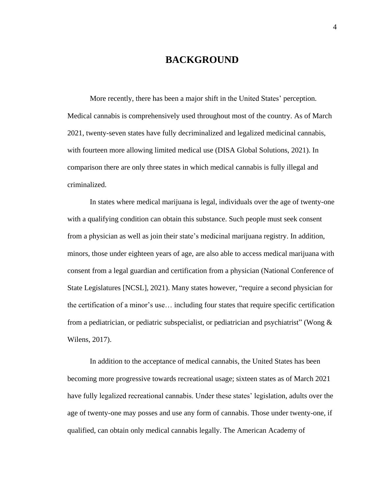### **BACKGROUND**

More recently, there has been a major shift in the United States' perception. Medical cannabis is comprehensively used throughout most of the country. As of March 2021, twenty-seven states have fully decriminalized and legalized medicinal cannabis, with fourteen more allowing limited medical use (DISA Global Solutions, 2021). In comparison there are only three states in which medical cannabis is fully illegal and criminalized.

In states where medical marijuana is legal, individuals over the age of twenty-one with a qualifying condition can obtain this substance. Such people must seek consent from a physician as well as join their state's medicinal marijuana registry. In addition, minors, those under eighteen years of age, are also able to access medical marijuana with consent from a legal guardian and certification from a physician (National Conference of State Legislatures [NCSL], 2021). Many states however, "require a second physician for the certification of a minor's use… including four states that require specific certification from a pediatrician, or pediatric subspecialist, or pediatrician and psychiatrist" (Wong  $\&$ Wilens, 2017).

In addition to the acceptance of medical cannabis, the United States has been becoming more progressive towards recreational usage; sixteen states as of March 2021 have fully legalized recreational cannabis. Under these states' legislation, adults over the age of twenty-one may posses and use any form of cannabis. Those under twenty-one, if qualified, can obtain only medical cannabis legally. The American Academy of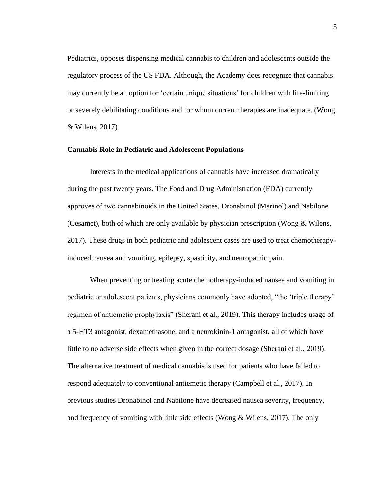Pediatrics, opposes dispensing medical cannabis to children and adolescents outside the regulatory process of the US FDA. Although, the Academy does recognize that cannabis may currently be an option for 'certain unique situations' for children with life-limiting or severely debilitating conditions and for whom current therapies are inadequate. (Wong & Wilens, 2017)

#### **Cannabis Role in Pediatric and Adolescent Populations**

Interests in the medical applications of cannabis have increased dramatically during the past twenty years. The Food and Drug Administration (FDA) currently approves of two cannabinoids in the United States, Dronabinol (Marinol) and Nabilone (Cesamet), both of which are only available by physician prescription (Wong & Wilens, 2017). These drugs in both pediatric and adolescent cases are used to treat chemotherapyinduced nausea and vomiting, epilepsy, spasticity, and neuropathic pain.

When preventing or treating acute chemotherapy-induced nausea and vomiting in pediatric or adolescent patients, physicians commonly have adopted, "the 'triple therapy' regimen of antiemetic prophylaxis" (Sherani et al., 2019). This therapy includes usage of a 5-HT3 antagonist, dexamethasone, and a neurokinin-1 antagonist, all of which have little to no adverse side effects when given in the correct dosage (Sherani et al., 2019). The alternative treatment of medical cannabis is used for patients who have failed to respond adequately to conventional antiemetic therapy (Campbell et al., 2017). In previous studies Dronabinol and Nabilone have decreased nausea severity, frequency, and frequency of vomiting with little side effects (Wong  $&$  Wilens, 2017). The only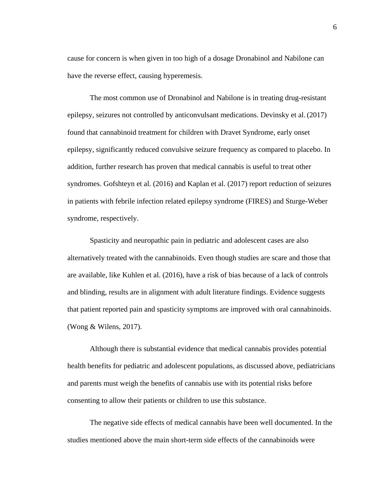cause for concern is when given in too high of a dosage Dronabinol and Nabilone can have the reverse effect, causing hyperemesis.

The most common use of Dronabinol and Nabilone is in treating drug-resistant epilepsy, seizures not controlled by anticonvulsant medications. Devinsky et al.(2017) found that cannabinoid treatment for children with Dravet Syndrome, early onset epilepsy, significantly reduced convulsive seizure frequency as compared to placebo. In addition, further research has proven that medical cannabis is useful to treat other syndromes. Gofshteyn et al. (2016) and Kaplan et al. (2017) report reduction of seizures in patients with febrile infection related epilepsy syndrome (FIRES) and Sturge-Weber syndrome, respectively.

Spasticity and neuropathic pain in pediatric and adolescent cases are also alternatively treated with the cannabinoids. Even though studies are scare and those that are available, like Kuhlen et al. (2016), have a risk of bias because of a lack of controls and blinding, results are in alignment with adult literature findings. Evidence suggests that patient reported pain and spasticity symptoms are improved with oral cannabinoids. (Wong & Wilens, 2017).

Although there is substantial evidence that medical cannabis provides potential health benefits for pediatric and adolescent populations, as discussed above, pediatricians and parents must weigh the benefits of cannabis use with its potential risks before consenting to allow their patients or children to use this substance.

The negative side effects of medical cannabis have been well documented. In the studies mentioned above the main short-term side effects of the cannabinoids were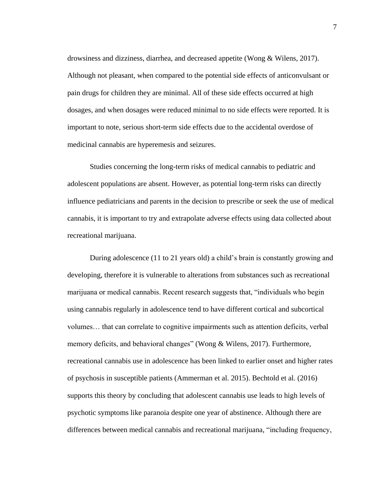drowsiness and dizziness, diarrhea, and decreased appetite (Wong & Wilens, 2017). Although not pleasant, when compared to the potential side effects of anticonvulsant or pain drugs for children they are minimal. All of these side effects occurred at high dosages, and when dosages were reduced minimal to no side effects were reported. It is important to note, serious short-term side effects due to the accidental overdose of medicinal cannabis are hyperemesis and seizures.

Studies concerning the long-term risks of medical cannabis to pediatric and adolescent populations are absent. However, as potential long-term risks can directly influence pediatricians and parents in the decision to prescribe or seek the use of medical cannabis, it is important to try and extrapolate adverse effects using data collected about recreational marijuana.

During adolescence (11 to 21 years old) a child's brain is constantly growing and developing, therefore it is vulnerable to alterations from substances such as recreational marijuana or medical cannabis. Recent research suggests that, "individuals who begin using cannabis regularly in adolescence tend to have different cortical and subcortical volumes… that can correlate to cognitive impairments such as attention deficits, verbal memory deficits, and behavioral changes" (Wong & Wilens, 2017). Furthermore, recreational cannabis use in adolescence has been linked to earlier onset and higher rates of psychosis in susceptible patients (Ammerman et al. 2015). Bechtold et al. (2016) supports this theory by concluding that adolescent cannabis use leads to high levels of psychotic symptoms like paranoia despite one year of abstinence. Although there are differences between medical cannabis and recreational marijuana, "including frequency,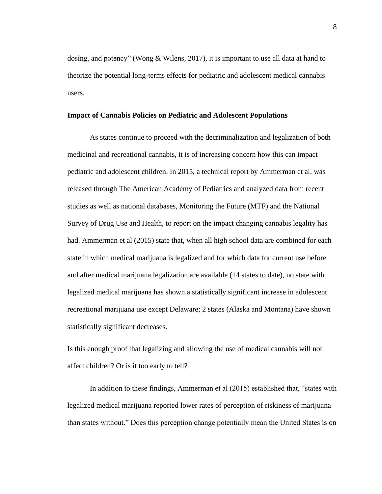dosing, and potency" (Wong & Wilens, 2017), it is important to use all data at hand to theorize the potential long-terms effects for pediatric and adolescent medical cannabis users.

#### **Impact of Cannabis Policies on Pediatric and Adolescent Populations**

As states continue to proceed with the decriminalization and legalization of both medicinal and recreational cannabis, it is of increasing concern how this can impact pediatric and adolescent children. In 2015, a technical report by Ammerman et al. was released through The American Academy of Pediatrics and analyzed data from recent studies as well as national databases, Monitoring the Future (MTF) and the National Survey of Drug Use and Health, to report on the impact changing cannabis legality has had. Ammerman et al (2015) state that, when all high school data are combined for each state in which medical marijuana is legalized and for which data for current use before and after medical marijuana legalization are available (14 states to date), no state with legalized medical marijuana has shown a statistically significant increase in adolescent recreational marijuana use except Delaware; 2 states (Alaska and Montana) have shown statistically significant decreases.

Is this enough proof that legalizing and allowing the use of medical cannabis will not affect children? Or is it too early to tell?

In addition to these findings, Ammerman et al (2015) established that, "states with legalized medical marijuana reported lower rates of perception of riskiness of marijuana than states without." Does this perception change potentially mean the United States is on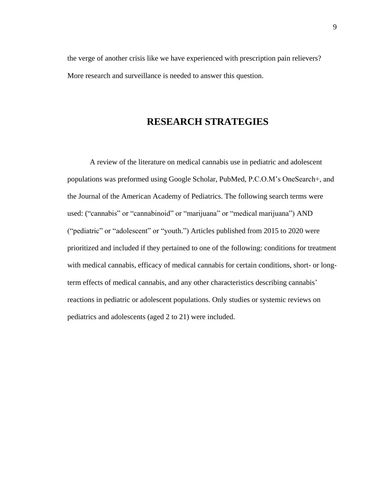the verge of another crisis like we have experienced with prescription pain relievers? More research and surveillance is needed to answer this question.

# **RESEARCH STRATEGIES**

A review of the literature on medical cannabis use in pediatric and adolescent populations was preformed using Google Scholar, PubMed, P.C.O.M's OneSearch+, and the Journal of the American Academy of Pediatrics. The following search terms were used: ("cannabis" or "cannabinoid" or "marijuana" or "medical marijuana") AND ("pediatric" or "adolescent" or "youth.") Articles published from 2015 to 2020 were prioritized and included if they pertained to one of the following: conditions for treatment with medical cannabis, efficacy of medical cannabis for certain conditions, short- or longterm effects of medical cannabis, and any other characteristics describing cannabis' reactions in pediatric or adolescent populations. Only studies or systemic reviews on pediatrics and adolescents (aged 2 to 21) were included.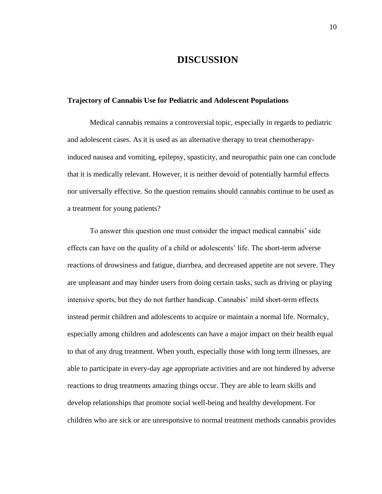### **DISCUSSION**

#### **Trajectory of Cannabis Use for Pediatric and Adolescent Populations**

Medical cannabis remains a controversial topic, especially in regards to pediatric and adolescent cases. As it is used as an alternative therapy to treat chemotherapyinduced nausea and vomiting, epilepsy, spasticity, and neuropathic pain one can conclude that it is medically relevant. However, it is neither devoid of potentially harmful effects nor universally effective. So the question remains should cannabis continue to be used as a treatment for young patients?

To answer this question one must consider the impact medical cannabis' side effects can have on the quality of a child or adolescents' life. The short-term adverse reactions of drowsiness and fatigue, diarrhea, and decreased appetite are not severe. They are unpleasant and may hinder users from doing certain tasks, such as driving or playing intensive sports, but they do not further handicap. Cannabis' mild short-term effects instead permit children and adolescents to acquire or maintain a normal life. Normalcy, especially among children and adolescents can have a major impact on their health equal to that of any drug treatment. When youth, especially those with long term illnesses, are able to participate in every-day age appropriate activities and are not hindered by adverse reactions to drug treatments amazing things occur. They are able to learn skills and develop relationships that promote social well-being and healthy development. For children who are sick or are unresponsive to normal treatment methods cannabis provides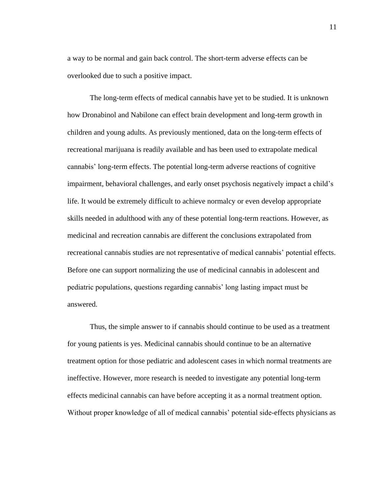a way to be normal and gain back control. The short-term adverse effects can be overlooked due to such a positive impact.

The long-term effects of medical cannabis have yet to be studied. It is unknown how Dronabinol and Nabilone can effect brain development and long-term growth in children and young adults. As previously mentioned, data on the long-term effects of recreational marijuana is readily available and has been used to extrapolate medical cannabis' long-term effects. The potential long-term adverse reactions of cognitive impairment, behavioral challenges, and early onset psychosis negatively impact a child's life. It would be extremely difficult to achieve normalcy or even develop appropriate skills needed in adulthood with any of these potential long-term reactions. However, as medicinal and recreation cannabis are different the conclusions extrapolated from recreational cannabis studies are not representative of medical cannabis' potential effects. Before one can support normalizing the use of medicinal cannabis in adolescent and pediatric populations, questions regarding cannabis' long lasting impact must be answered.

Thus, the simple answer to if cannabis should continue to be used as a treatment for young patients is yes. Medicinal cannabis should continue to be an alternative treatment option for those pediatric and adolescent cases in which normal treatments are ineffective. However, more research is needed to investigate any potential long-term effects medicinal cannabis can have before accepting it as a normal treatment option. Without proper knowledge of all of medical cannabis' potential side-effects physicians as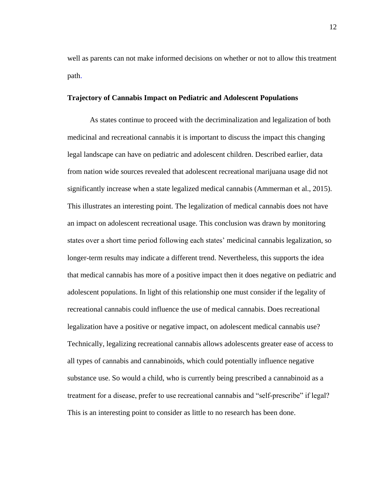well as parents can not make informed decisions on whether or not to allow this treatment path.

#### **Trajectory of Cannabis Impact on Pediatric and Adolescent Populations**

As states continue to proceed with the decriminalization and legalization of both medicinal and recreational cannabis it is important to discuss the impact this changing legal landscape can have on pediatric and adolescent children. Described earlier, data from nation wide sources revealed that adolescent recreational marijuana usage did not significantly increase when a state legalized medical cannabis (Ammerman et al., 2015). This illustrates an interesting point. The legalization of medical cannabis does not have an impact on adolescent recreational usage. This conclusion was drawn by monitoring states over a short time period following each states' medicinal cannabis legalization, so longer-term results may indicate a different trend. Nevertheless, this supports the idea that medical cannabis has more of a positive impact then it does negative on pediatric and adolescent populations. In light of this relationship one must consider if the legality of recreational cannabis could influence the use of medical cannabis. Does recreational legalization have a positive or negative impact, on adolescent medical cannabis use? Technically, legalizing recreational cannabis allows adolescents greater ease of access to all types of cannabis and cannabinoids, which could potentially influence negative substance use. So would a child, who is currently being prescribed a cannabinoid as a treatment for a disease, prefer to use recreational cannabis and "self-prescribe" if legal? This is an interesting point to consider as little to no research has been done.

12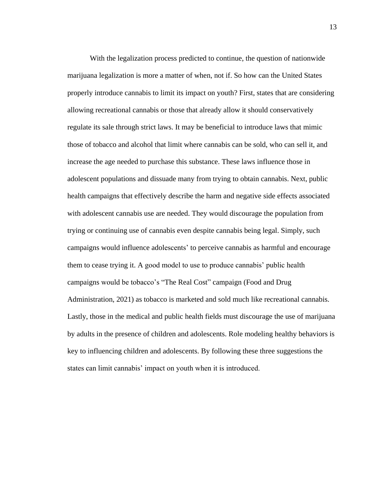With the legalization process predicted to continue, the question of nationwide marijuana legalization is more a matter of when, not if. So how can the United States properly introduce cannabis to limit its impact on youth? First, states that are considering allowing recreational cannabis or those that already allow it should conservatively regulate its sale through strict laws. It may be beneficial to introduce laws that mimic those of tobacco and alcohol that limit where cannabis can be sold, who can sell it, and increase the age needed to purchase this substance. These laws influence those in adolescent populations and dissuade many from trying to obtain cannabis. Next, public health campaigns that effectively describe the harm and negative side effects associated with adolescent cannabis use are needed. They would discourage the population from trying or continuing use of cannabis even despite cannabis being legal. Simply, such campaigns would influence adolescents' to perceive cannabis as harmful and encourage them to cease trying it. A good model to use to produce cannabis' public health campaigns would be tobacco's "The Real Cost" campaign (Food and Drug Administration, 2021) as tobacco is marketed and sold much like recreational cannabis. Lastly, those in the medical and public health fields must discourage the use of marijuana by adults in the presence of children and adolescents. Role modeling healthy behaviors is key to influencing children and adolescents. By following these three suggestions the states can limit cannabis' impact on youth when it is introduced.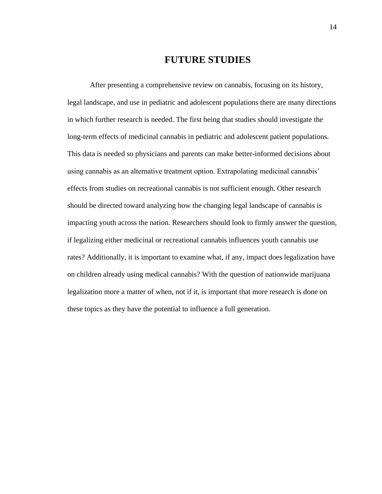# **FUTURE STUDIES**

After presenting a comprehensive review on cannabis, focusing on its history, legal landscape, and use in pediatric and adolescent populations there are many directions in which further research is needed. The first being that studies should investigate the long-term effects of medicinal cannabis in pediatric and adolescent patient populations. This data is needed so physicians and parents can make better-informed decisions about using cannabis as an alternative treatment option. Extrapolating medicinal cannabis' effects from studies on recreational cannabis is not sufficient enough. Other research should be directed toward analyzing how the changing legal landscape of cannabis is impacting youth across the nation. Researchers should look to firmly answer the question, if legalizing either medicinal or recreational cannabis influences youth cannabis use rates? Additionally, it is important to examine what, if any, impact does legalization have on children already using medical cannabis? With the question of nationwide marijuana legalization more a matter of when, not if it, is important that more research is done on these topics as they have the potential to influence a full generation.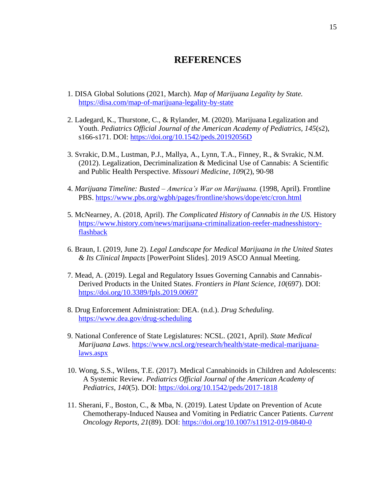## **REFERENCES**

- 1. DISA Global Solutions (2021, March). *Map of Marijuana Legality by State.* <https://disa.com/map-of-marijuana-legality-by-state>
- 2. Ladegard, K., Thurstone, C., & Rylander, M. (2020). Marijuana Legalization and Youth. *Pediatrics Official Journal of the American Academy of Pediatrics*, *145*(s2), s166-s171. DOI: <https://doi.org/10.1542/peds.20192056D>
- 3. Svrakic, D.M., Lustman, P.J., Mallya, A., Lynn, T.A., Finney, R., & Svrakic, N.M. (2012). Legalization, Decriminalization & Medicinal Use of Cannabis: A Scientific and Public Health Perspective. *Missouri Medicine, 109*(2), 90-98
- 4. *Marijuana Timeline: Busted – America's War on Marijuana.* (1998, April)*.* Frontline PBS.<https://www.pbs.org/wgbh/pages/frontline/shows/dope/etc/cron.html>
- 5. McNearney, A. (2018, April). *The Complicated History of Cannabis in the US.* History [https://www.history.com/news/marijuana-criminalization-reefer-madnesshistory](https://www.history.com/news/marijuana-criminalization-reefer-madnesshistory-flashback)[flashback](https://www.history.com/news/marijuana-criminalization-reefer-madnesshistory-flashback)
- 6. Braun, I. (2019, June 2). *Legal Landscape for Medical Marijuana in the United States & Its Clinical Impacts* [PowerPoint Slides]. 2019 ASCO Annual Meeting.
- 7. Mead, A. (2019). Legal and Regulatory Issues Governing Cannabis and Cannabis-Derived Products in the United States. *Frontiers in Plant Science, 10*(697). DOI: <https://doi.org/10.3389/fpls.2019.00697>
- 8. Drug Enforcement Administration: DEA. (n.d.). *Drug Scheduling*. <https://www.dea.gov/drug-scheduling>
- 9. National Conference of State Legislatures: NCSL. (2021, April). *State Medical Marijuana Laws*. [https://www.ncsl.org/research/health/state-medical-marijuana](https://www.ncsl.org/research/health/state-medical-marijuana-laws.aspx)[laws.aspx](https://www.ncsl.org/research/health/state-medical-marijuana-laws.aspx)
- 10. Wong, S.S., Wilens, T.E. (2017). Medical Cannabinoids in Children and Adolescents: A Systemic Review. *Pediatrics Official Journal of the American Academy of Pediatrics, 140*(5). DOI:<https://doi.org/10.1542/peds/2017-1818>
- 11. Sherani, F., Boston, C., & Mba, N. (2019). Latest Update on Prevention of Acute Chemotherapy-Induced Nausea and Vomiting in Pediatric Cancer Patients. *Current Oncology Reports, 21*(89). DOI:<https://doi.org/10.1007/s11912-019-0840-0>